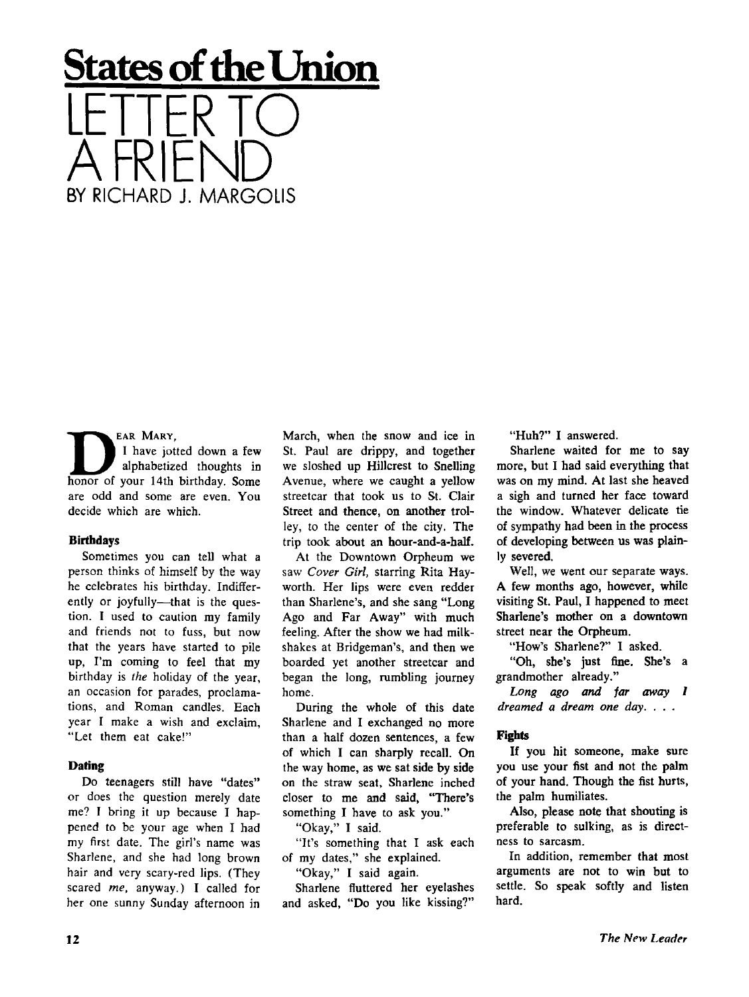# **States of the Union**  LETTER TO A FRIEND BY RICHARD J. MARGOLIS

EAR MARY. I have jotted down a few alphabetized thoughts in honor of your 14th birthday. Some are odd and some are even. You decide which are which.

#### **Birthdays**

Sometimes you can tell what a person thinks of himself by the way he celebrates his birthday. Indifferently or joyfully—that is the question. I used to caution my family and friends not to fuss, but now that the years have started to pile up, I'm coming to feel that my birthday is *the* holiday of the year, an occasion for parades, proclamations, and Roman candles. Each year I make a wish and exclaim, "Let them eat cake!"

### **Daring**

Do teenagers still have "dates" or does the question merely date me? I bring it up because I happened to be your age when I had my first date. The girl's name was Sharlene, and she had long brown hair and very scary-red lips. (They scared *me,* anyway.) I called for her one sunny Sunday afternoon in March, when the snow and ice in St. Paul are drippy, and together we sloshed up Hillcrest to Snelling Avenue, where we caught a yellow streetcar that took us to St. Clair Street and thence, on another trolley, to the center of the city. The trip took about an hour-and-a-half.

At the Downtown Orpheum we saw *Cover Girl,* starring Rita Hayworth. Her lips were even redder than Sharlene's, and she sang "Long Ago and Far Away" with much feeling. After the show we had milkshakes at Bridgeman's, and then we boarded yet another streetcar and began the long, rumbling journey home.

During the whole of this date Sharlene and I exchanged no more than a half dozen sentences, a few of which I can sharply recall. On the way home, as we sat side by side on the straw seat, Sharlene inched closer to me and said, "There's something I have to ask you."

"Okay," I said.

"It's something that I ask each of my dates," she explained.

"Okay," I said again.

Sharlene fluttered her eyelashes and asked, "Do you like kissing?" "Huh?" I answered.

Sharlene waited for me to say more, but I had said everything that was on my mind. At last she heaved a sigh and turned her face toward the window. Whatever delicate tie of sympathy had been in the process of developing between us was plainly severed.

Well, we went our separate ways. A few months ago, however, while visiting St. Paul, I happened to meet Sharlene's mother on a downtown street near the Orpheum.

"How's Sharlene?" 1 asked.

"Oh, she's just fine. She's a grandmother already."

*Long ago and far away 1 dreamed a dream one day. . . .* 

#### **Fights**

If you hit someone, make sure you use your fist and not the palm of your hand. Though the fist hurts, the palm humiliates.

Also, please note that shouting is preferable to sulking, as is directness to sarcasm.

In addition, remember that most arguments are not to win but to settle. So speak softly and listen hard.